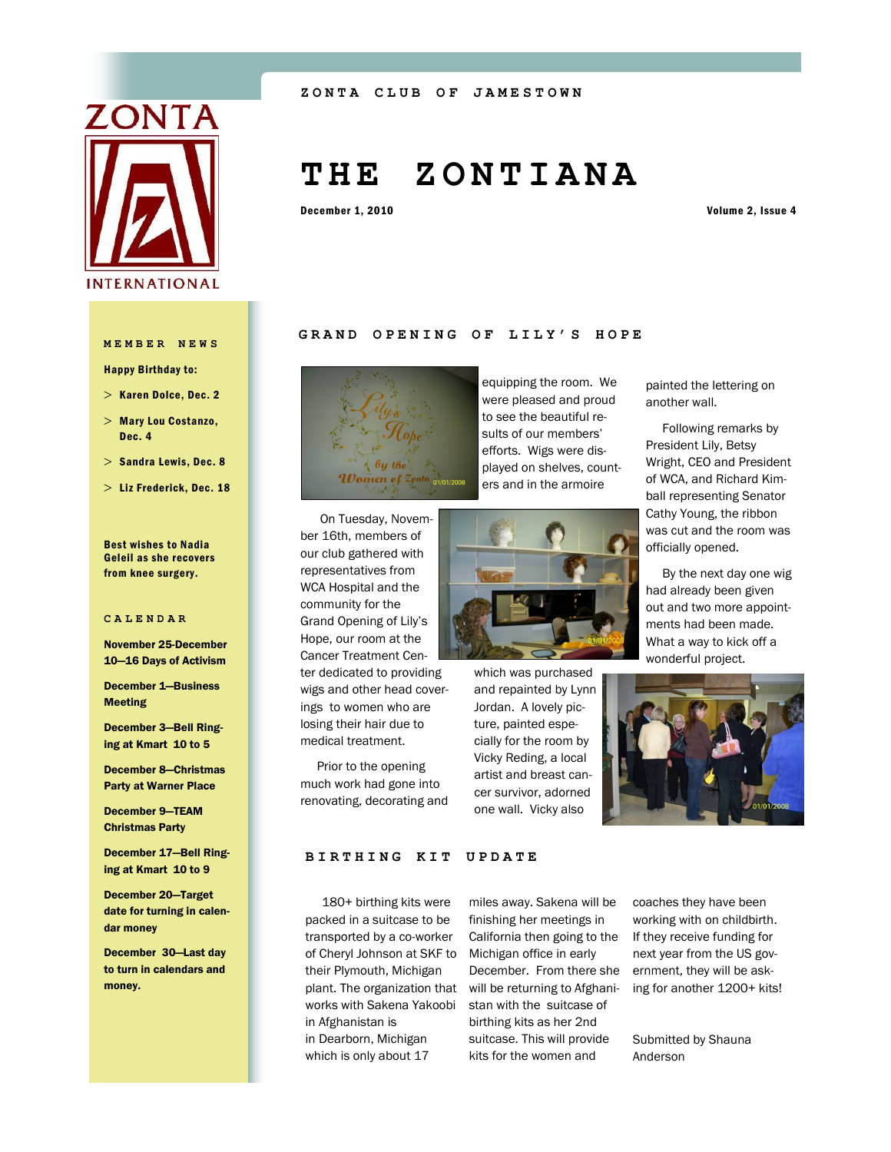

#### **ZONTA CLUB OF JAMEST OWN**

# **T H E Z O N T I A N A**

December 1, 2010 Volume 2, Issue 4

#### **MEMBER NEWS**

Happy Birthday to:

- $>$  Karen Dolce, Dec. 2
- Mary Lou Costanzo, Dec. 4
- $>$  Sandra Lewis, Dec. 8
- $>$  Liz Frederick, Dec. 18

#### Best wishes to Nadia Geleil as she recovers from knee surgery.

#### **CALENDAR**

November 25-December 10—16 Days of Activism

December 1—Business Meeting

December 3—Bell Ringing at Kmart 10 to 5

December 8—Christmas Party at Warner Place

December 9—TEAM Christmas Party

December 17—Bell Ringing at Kmart 10 to 9

December 20—Target date for turning in calendar money

December 30—Last day to turn in calendars and money.





equipping the room. We were pleased and proud to see the beautiful results of our members' efforts. Wigs were displayed on shelves, counters and in the armoire

 On Tuesday, November 16th, members of our club gathered with representatives from WCA Hospital and the community for the Grand Opening of Lily's Hope, our room at the Cancer Treatment Center dedicated to providing wigs and other head coverings to women who are losing their hair due to medical treatment.

 Prior to the opening much work had gone into renovating, decorating and



which was purchased and repainted by Lynn Jordan. A lovely picture, painted especially for the room by Vicky Reding, a local artist and breast cancer survivor, adorned one wall. Vicky also

# painted the lettering on another wall.

 Following remarks by President Lily, Betsy Wright, CEO and President of WCA, and Richard Kimball representing Senator Cathy Young, the ribbon was cut and the room was officially opened.

 By the next day one wig had already been given out and two more appointments had been made. What a way to kick off a wonderful project.



#### **BIRTHING KIT UPDATE**

 180+ birthing kits were packed in a suitcase to be transported by a co-worker of Cheryl Johnson at SKF to their Plymouth, Michigan works with Sakena Yakoobi in Afghanistan is in Dearborn, Michigan which is only about 17

plant. The organization that will be returning to Afghanimiles away. Sakena will be finishing her meetings in California then going to the Michigan office in early December. From there she stan with the suitcase of birthing kits as her 2nd suitcase. This will provide kits for the women and

coaches they have been working with on childbirth. If they receive funding for next year from the US government, they will be asking for another 1200+ kits!

Submitted by Shauna Anderson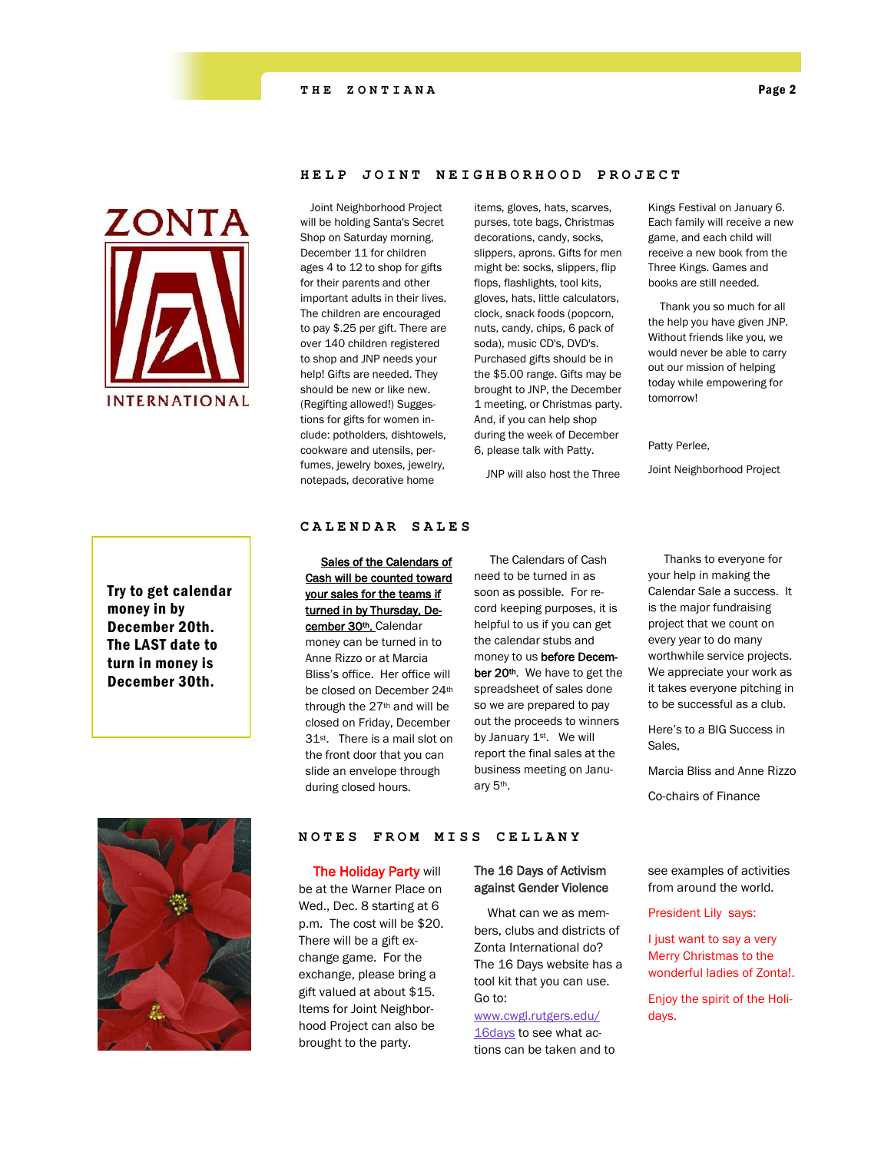#### **THE ZONTIANA** Page 2



## Try to get calendar money in by December 20th. The LAST date to turn in money is December 30th.

#### **HELP JOINT NEIGHBORHOOD PROJECT**

 Joint Neighborhood Project will be holding Santa's Secret Shop on Saturday morning, December 11 for children ages 4 to 12 to shop for gifts for their parents and other important adults in their lives. The children are encouraged to pay \$.25 per gift. There are over 140 children registered to shop and JNP needs your help! Gifts are needed. They should be new or like new. (Regifting allowed!) Suggestions for gifts for women include: potholders, dishtowels, cookware and utensils, perfumes, jewelry boxes, jewelry, notepads, decorative home

items, gloves, hats, scarves, purses, tote bags, Christmas decorations, candy, socks, slippers, aprons. Gifts for men might be: socks, slippers, flip flops, flashlights, tool kits, gloves, hats, little calculators, clock, snack foods (popcorn, nuts, candy, chips, 6 pack of soda), music CD's, DVD's. Purchased gifts should be in the \$5.00 range. Gifts may be brought to JNP, the December 1 meeting, or Christmas party. And, if you can help shop during the week of December 6, please talk with Patty.

JNP will also host the Three

Kings Festival on January 6. Each family will receive a new game, and each child will receive a new book from the Three Kings. Games and books are still needed.

 Thank you so much for all the help you have given JNP. Without friends like you, we would never be able to carry out our mission of helping today while empowering for tomorrow!

Patty Perlee,

Joint Neighborhood Project

#### **CALENDAR SALES**

 Sales of the Calendars of Cash will be counted toward your sales for the teams if turned in by Thursday, December 30th. Calendar money can be turned in to Anne Rizzo or at Marcia Bliss's office. Her office will be closed on December 24th through the  $27<sup>th</sup>$  and will be closed on Friday, December 31st . There is a mail slot on the front door that you can slide an envelope through during closed hours.

 The Calendars of Cash need to be turned in as soon as possible. For record keeping purposes, it is helpful to us if you can get the calendar stubs and money to us before December 20<sup>th</sup>. We have to get the spreadsheet of sales done so we are prepared to pay out the proceeds to winners by January 1<sup>st</sup>. We will report the final sales at the business meeting on January 5th.

 Thanks to everyone for your help in making the Calendar Sale a success. It is the major fundraising project that we count on every year to do many worthwhile service projects. We appreciate your work as it takes everyone pitching in to be successful as a club.

Here's to a BIG Success in Sales,

Marcia Bliss and Anne Rizzo

Co-chairs of Finance



#### **NOTES F R O M M I S S C E L L A N Y**

**The Holiday Party will** 

be at the Warner Place on Wed., Dec. 8 starting at 6 p.m. The cost will be \$20. There will be a gift exchange game. For the exchange, please bring a gift valued at about \$15. Items for Joint Neighborhood Project can also be brought to the party.

#### The 16 Days of Activism against Gender Violence

 What can we as members, clubs and districts of Zonta International do? The 16 Days website has a tool kit that you can use. Go to:

# [www.cwgl.rutgers.edu/](http://newsletter.zonta.org/t.aspx?S=1&ID=55&NL=5&N=52&SI=24480&URL=http://16dayscwgl.rutgers.edu/)

[16days](http://newsletter.zonta.org/t.aspx?S=1&ID=55&NL=5&N=52&SI=24480&URL=http://16dayscwgl.rutgers.edu/) to see what actions can be taken and to see examples of activities from around the world.

President Lily says:

I just want to say a very Merry Christmas to the wonderful ladies of Zonta!.

Enjoy the spirit of the Holidays.